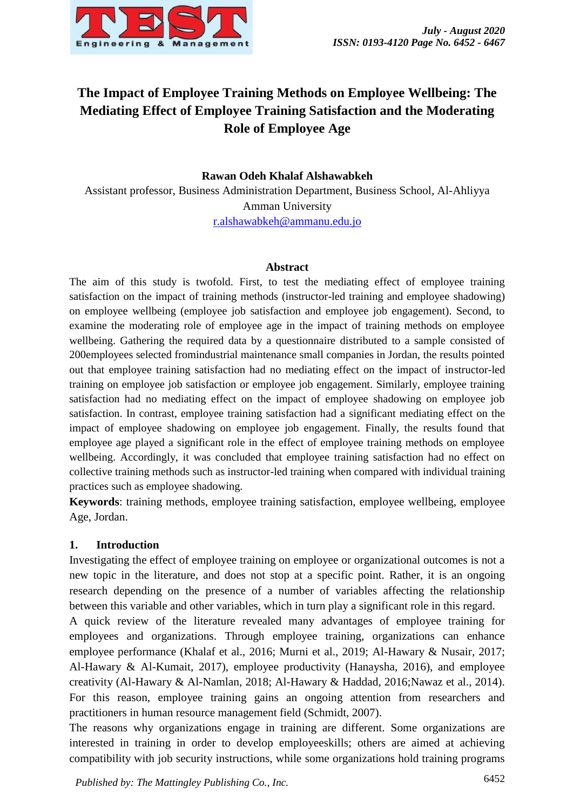

# **The Impact of Employee Training Methods on Employee Wellbeing: The Mediating Effect of Employee Training Satisfaction and the Moderating Role of Employee Age**

## **Rawan Odeh Khalaf Alshawabkeh**

Assistant professor, Business Administration Department, Business School, Al-Ahliyya Amman University [r.alshawabkeh@ammanu.edu.jo](mailto:r.alshawabkeh@ammanu.edu.jo)

### **Abstract**

The aim of this study is twofold. First, to test the mediating effect of employee training satisfaction on the impact of training methods (instructor-led training and employee shadowing) on employee wellbeing (employee job satisfaction and employee job engagement). Second, to examine the moderating role of employee age in the impact of training methods on employee wellbeing. Gathering the required data by a questionnaire distributed to a sample consisted of 200employees selected fromindustrial maintenance small companies in Jordan, the results pointed out that employee training satisfaction had no mediating effect on the impact of instructor-led training on employee job satisfaction or employee job engagement. Similarly, employee training satisfaction had no mediating effect on the impact of employee shadowing on employee job satisfaction. In contrast, employee training satisfaction had a significant mediating effect on the impact of employee shadowing on employee job engagement. Finally, the results found that employee age played a significant role in the effect of employee training methods on employee wellbeing. Accordingly, it was concluded that employee training satisfaction had no effect on collective training methods such as instructor-led training when compared with individual training practices such as employee shadowing.

**Keywords**: training methods, employee training satisfaction, employee wellbeing, employee Age, Jordan.

### **1. Introduction**

Investigating the effect of employee training on employee or organizational outcomes is not a new topic in the literature, and does not stop at a specific point. Rather, it is an ongoing research depending on the presence of a number of variables affecting the relationship between this variable and other variables, which in turn play a significant role in this regard.

A quick review of the literature revealed many advantages of employee training for employees and organizations. Through employee training, organizations can enhance employee performance (Khalaf et al., 2016; Murni et al., 2019; Al-Hawary & Nusair, 2017; Al-Hawary & Al-Kumait, 2017), employee productivity (Hanaysha, 2016), and employee creativity (Al-Hawary & Al-Namlan, 2018; Al-Hawary & Haddad, 2016;Nawaz et al., 2014). For this reason, employee training gains an ongoing attention from researchers and practitioners in human resource management field (Schmidt, 2007).

The reasons why organizations engage in training are different. Some organizations are interested in training in order to develop employeeskills; others are aimed at achieving compatibility with job security instructions, while some organizations hold training programs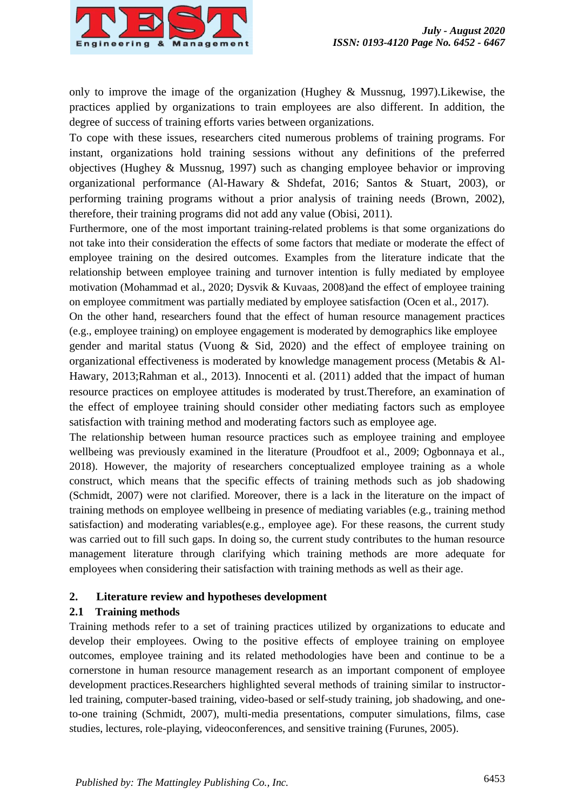

only to improve the image of the organization (Hughey & Mussnug, 1997).Likewise, the practices applied by organizations to train employees are also different. In addition, the degree of success of training efforts varies between organizations.

To cope with these issues, researchers cited numerous problems of training programs. For instant, organizations hold training sessions without any definitions of the preferred objectives (Hughey & Mussnug, 1997) such as changing employee behavior or improving organizational performance (Al-Hawary & Shdefat, 2016; Santos & Stuart, 2003), or performing training programs without a prior analysis of training needs (Brown, 2002), therefore, their training programs did not add any value (Obisi, 2011).

Furthermore, one of the most important training-related problems is that some organizations do not take into their consideration the effects of some factors that mediate or moderate the effect of employee training on the desired outcomes. Examples from the literature indicate that the relationship between employee training and turnover intention is fully mediated by employee motivation (Mohammad et al., 2020; Dysvik & Kuvaas, 2008)and the effect of employee training on employee commitment was partially mediated by employee satisfaction (Ocen et al., 2017).

On the other hand, researchers found that the effect of human resource management practices (e.g., employee training) on employee engagement is moderated by demographics like employee

gender and marital status (Vuong & Sid, 2020) and the effect of employee training on organizational effectiveness is moderated by knowledge management process (Metabis & Al-Hawary, 2013;Rahman et al., 2013). Innocenti et al. (2011) added that the impact of human resource practices on employee attitudes is moderated by trust.Therefore, an examination of the effect of employee training should consider other mediating factors such as employee satisfaction with training method and moderating factors such as employee age.

The relationship between human resource practices such as employee training and employee wellbeing was previously examined in the literature (Proudfoot et al., 2009; Ogbonnaya et al., 2018). However, the majority of researchers conceptualized employee training as a whole construct, which means that the specific effects of training methods such as job shadowing (Schmidt, 2007) were not clarified. Moreover, there is a lack in the literature on the impact of training methods on employee wellbeing in presence of mediating variables (e.g., training method satisfaction) and moderating variables(e.g., employee age). For these reasons, the current study was carried out to fill such gaps. In doing so, the current study contributes to the human resource management literature through clarifying which training methods are more adequate for employees when considering their satisfaction with training methods as well as their age.

# **2. Literature review and hypotheses development**

# **2.1 Training methods**

Training methods refer to a set of training practices utilized by organizations to educate and develop their employees. Owing to the positive effects of employee training on employee outcomes, employee training and its related methodologies have been and continue to be a cornerstone in human resource management research as an important component of employee development practices.Researchers highlighted several methods of training similar to instructorled training, computer-based training, video-based or self-study training, job shadowing, and oneto-one training (Schmidt, 2007), multi-media presentations, computer simulations, films, case studies, lectures, role-playing, videoconferences, and sensitive training (Furunes, 2005).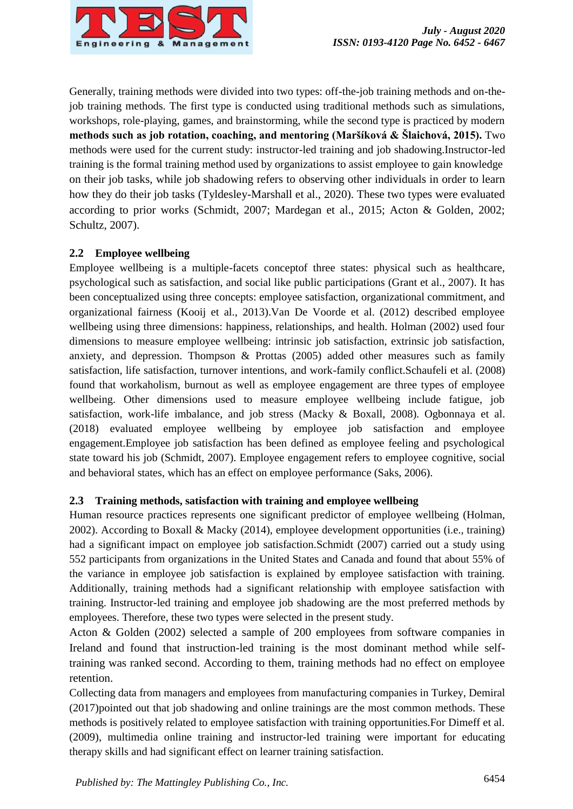

Generally, training methods were divided into two types: off-the-job training methods and on-thejob training methods. The first type is conducted using traditional methods such as simulations, workshops, role-playing, games, and brainstorming, while the second type is practiced by modern **methods such as job rotation, coaching, and mentoring (Maršíková & Šlaichová, 2015).** Two methods were used for the current study: instructor-led training and job shadowing.Instructor-led training is the formal training method used by organizations to assist employee to gain knowledge on their job tasks, while job shadowing refers to observing other individuals in order to learn how they do their job tasks (Tyldesley-Marshall et al., 2020). These two types were evaluated according to prior works (Schmidt, 2007; Mardegan et al., 2015; Acton & Golden, 2002; Schultz, 2007).

# **2.2 Employee wellbeing**

Employee wellbeing is a multiple-facets conceptof three states: physical such as healthcare, psychological such as satisfaction, and social like public participations (Grant et al., 2007). It has been conceptualized using three concepts: employee satisfaction, organizational commitment, and organizational fairness (Kooij et al., 2013).Van De Voorde et al. (2012) described employee wellbeing using three dimensions: happiness, relationships, and health. Holman (2002) used four dimensions to measure employee wellbeing: intrinsic job satisfaction, extrinsic job satisfaction, anxiety, and depression. Thompson & Prottas (2005) added other measures such as family satisfaction, life satisfaction, turnover intentions, and work-family conflict.Schaufeli et al. (2008) found that workaholism, burnout as well as employee engagement are three types of employee wellbeing. Other dimensions used to measure employee wellbeing include fatigue, job satisfaction, work-life imbalance, and job stress (Macky & Boxall, 2008). Ogbonnaya et al. (2018) evaluated employee wellbeing by employee job satisfaction and employee engagement.Employee job satisfaction has been defined as employee feeling and psychological state toward his job (Schmidt, 2007). Employee engagement refers to employee cognitive, social and behavioral states, which has an effect on employee performance (Saks, 2006).

# **2.3 Training methods, satisfaction with training and employee wellbeing**

Human resource practices represents one significant predictor of employee wellbeing (Holman, 2002). According to Boxall & Macky (2014), employee development opportunities (i.e., training) had a significant impact on employee job satisfaction.Schmidt (2007) carried out a study using 552 participants from organizations in the United States and Canada and found that about 55% of the variance in employee job satisfaction is explained by employee satisfaction with training. Additionally, training methods had a significant relationship with employee satisfaction with training. Instructor-led training and employee job shadowing are the most preferred methods by employees. Therefore, these two types were selected in the present study.

Acton & Golden (2002) selected a sample of 200 employees from software companies in Ireland and found that instruction-led training is the most dominant method while selftraining was ranked second. According to them, training methods had no effect on employee retention.

Collecting data from managers and employees from manufacturing companies in Turkey, Demiral (2017)pointed out that job shadowing and online trainings are the most common methods. These methods is positively related to employee satisfaction with training opportunities.For Dimeff et al. (2009), multimedia online training and instructor-led training were important for educating therapy skills and had significant effect on learner training satisfaction.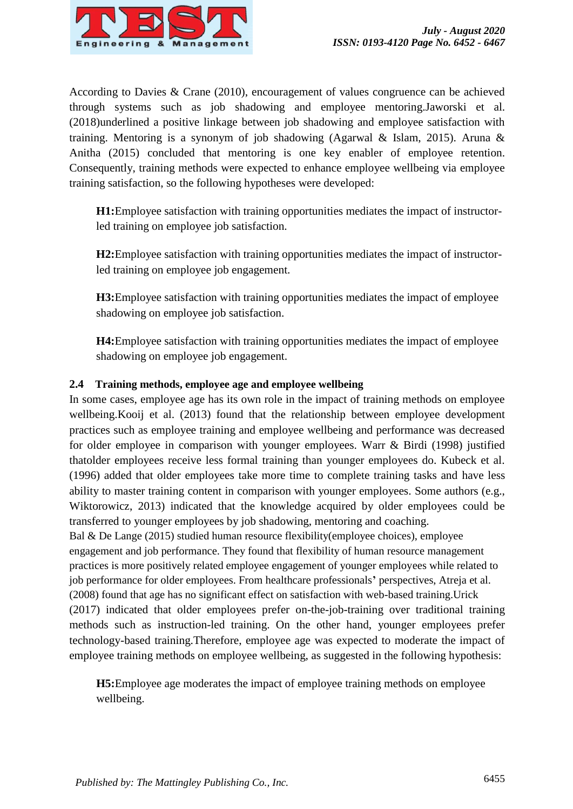

According to Davies & Crane (2010), encouragement of values congruence can be achieved through systems such as job shadowing and employee mentoring.Jaworski et al. (2018)underlined a positive linkage between job shadowing and employee satisfaction with training. Mentoring is a synonym of job shadowing (Agarwal & Islam, 2015). Aruna & Anitha (2015) concluded that mentoring is one key enabler of employee retention. Consequently, training methods were expected to enhance employee wellbeing via employee training satisfaction, so the following hypotheses were developed:

**H1:**Employee satisfaction with training opportunities mediates the impact of instructorled training on employee job satisfaction.

**H2:**Employee satisfaction with training opportunities mediates the impact of instructorled training on employee job engagement.

**H3:**Employee satisfaction with training opportunities mediates the impact of employee shadowing on employee job satisfaction.

**H4:**Employee satisfaction with training opportunities mediates the impact of employee shadowing on employee job engagement.

# **2.4 Training methods, employee age and employee wellbeing**

In some cases, employee age has its own role in the impact of training methods on employee wellbeing.Kooij et al. (2013) found that the relationship between employee development practices such as employee training and employee wellbeing and performance was decreased for older employee in comparison with younger employees. Warr & Birdi (1998) justified thatolder employees receive less formal training than younger employees do. Kubeck et al. (1996) added that older employees take more time to complete training tasks and have less ability to master training content in comparison with younger employees. Some authors (e.g., Wiktorowicz, 2013) indicated that the knowledge acquired by older employees could be transferred to younger employees by job shadowing, mentoring and coaching.

Bal & De Lange (2015) studied human resource flexibility(employee choices), employee engagement and job performance. They found that flexibility of human resource management practices is more positively related employee engagement of younger employees while related to job performance for older employees. From healthcare professionals**'** perspectives, Atreja et al. (2008) found that age has no significant effect on satisfaction with web-based training.Urick (2017) indicated that older employees prefer on-the-job-training over traditional training methods such as instruction-led training. On the other hand, younger employees prefer technology-based training.Therefore, employee age was expected to moderate the impact of employee training methods on employee wellbeing, as suggested in the following hypothesis:

**H5:**Employee age moderates the impact of employee training methods on employee wellbeing.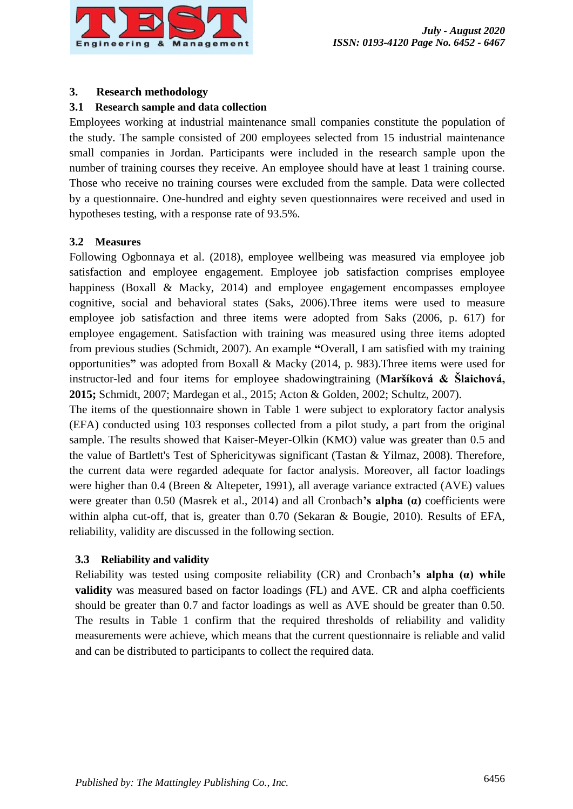

# **3. Research methodology**

## **3.1 Research sample and data collection**

Employees working at industrial maintenance small companies constitute the population of the study. The sample consisted of 200 employees selected from 15 industrial maintenance small companies in Jordan. Participants were included in the research sample upon the number of training courses they receive. An employee should have at least 1 training course. Those who receive no training courses were excluded from the sample. Data were collected by a questionnaire. One-hundred and eighty seven questionnaires were received and used in hypotheses testing, with a response rate of 93.5%.

## **3.2 Measures**

Following Ogbonnaya et al. (2018), employee wellbeing was measured via employee job satisfaction and employee engagement. Employee job satisfaction comprises employee happiness (Boxall & Macky, 2014) and employee engagement encompasses employee cognitive, social and behavioral states (Saks, 2006).Three items were used to measure employee job satisfaction and three items were adopted from Saks (2006, p. 617) for employee engagement. Satisfaction with training was measured using three items adopted from previous studies (Schmidt, 2007). An example **"**Overall, I am satisfied with my training opportunities**"** was adopted from Boxall & Macky (2014, p. 983).Three items were used for instructor-led and four items for employee shadowingtraining (**Maršíková & Šlaichová, 2015;** Schmidt, 2007; Mardegan et al., 2015; Acton & Golden, 2002; Schultz, 2007).

The items of the questionnaire shown in Table 1 were subject to exploratory factor analysis (EFA) conducted using 103 responses collected from a pilot study, a part from the original sample. The results showed that Kaiser-Meyer-Olkin (KMO) value was greater than 0.5 and the value of Bartlett's Test of Sphericitywas significant (Tastan & Yilmaz, 2008). Therefore, the current data were regarded adequate for factor analysis. Moreover, all factor loadings were higher than 0.4 (Breen & Altepeter, 1991), all average variance extracted (AVE) values were greater than 0.50 (Masrek et al., 2014) and all Cronbach**'s alpha (α)** coefficients were within alpha cut-off, that is, greater than 0.70 (Sekaran & Bougie, 2010). Results of EFA, reliability, validity are discussed in the following section.

# **3.3 Reliability and validity**

Reliability was tested using composite reliability (CR) and Cronbach**'s alpha (α) while validity** was measured based on factor loadings (FL) and AVE. CR and alpha coefficients should be greater than 0.7 and factor loadings as well as AVE should be greater than 0.50. The results in Table 1 confirm that the required thresholds of reliability and validity measurements were achieve, which means that the current questionnaire is reliable and valid and can be distributed to participants to collect the required data.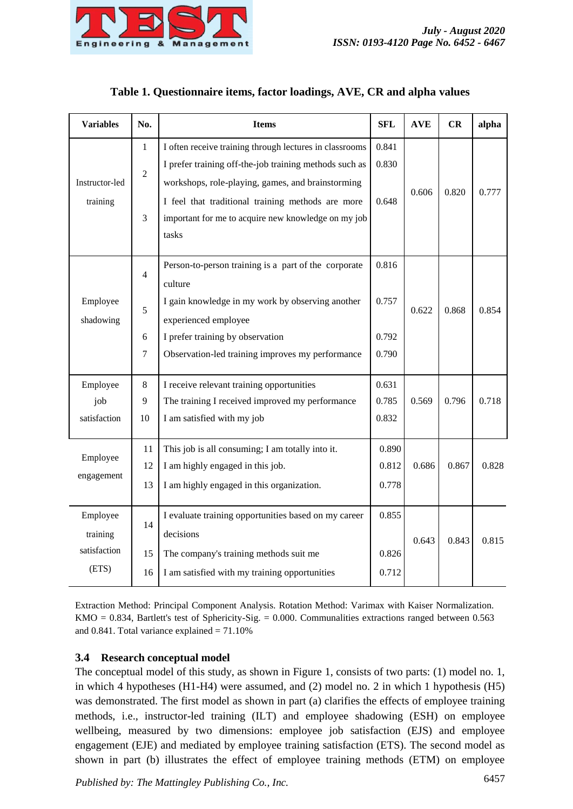

|                  |  | Tuble 11 Questionnaire rechis, ractor roughings, in very car and arphar variatio |            |        |       |
|------------------|--|----------------------------------------------------------------------------------|------------|--------|-------|
| Variables<br>No. |  | Items                                                                            | <b>SFL</b> | AVE CR | alpha |
|                  |  | I often receive training through lectures in classrooms   0.841                  |            |        |       |

# **Table 1. Questionnaire items, factor loadings, AVE, CR and alpha values**

| Instructor-led<br>training                    | $\overline{c}$<br>3           | I OITEN TECEIVE THAINING THOUGH TECHNIES IN CHASSIOONIS<br>I prefer training off-the-job training methods such as<br>workshops, role-playing, games, and brainstorming<br>I feel that traditional training methods are more<br>important for me to acquire new knowledge on my job<br>tasks | 0.041<br>0.830<br>0.648          | 0.606 | 0.820 | 0.777 |
|-----------------------------------------------|-------------------------------|---------------------------------------------------------------------------------------------------------------------------------------------------------------------------------------------------------------------------------------------------------------------------------------------|----------------------------------|-------|-------|-------|
| Employee<br>shadowing                         | $\overline{4}$<br>5<br>6<br>7 | Person-to-person training is a part of the corporate<br>culture<br>I gain knowledge in my work by observing another<br>experienced employee<br>I prefer training by observation<br>Observation-led training improves my performance                                                         | 0.816<br>0.757<br>0.792<br>0.790 | 0.622 | 0.868 | 0.854 |
| Employee<br>job<br>satisfaction               | 8<br>9<br>10                  | I receive relevant training opportunities<br>The training I received improved my performance<br>I am satisfied with my job                                                                                                                                                                  | 0.631<br>0.785<br>0.832          | 0.569 | 0.796 | 0.718 |
| Employee<br>engagement                        | 11<br>12<br>13                | This job is all consuming; I am totally into it.<br>I am highly engaged in this job.<br>I am highly engaged in this organization.                                                                                                                                                           | 0.890<br>0.812<br>0.778          | 0.686 | 0.867 | 0.828 |
| Employee<br>training<br>satisfaction<br>(ETS) | 14<br>15<br>16                | I evaluate training opportunities based on my career<br>decisions<br>The company's training methods suit me<br>I am satisfied with my training opportunities                                                                                                                                | 0.855<br>0.826<br>0.712          | 0.643 | 0.843 | 0.815 |

Extraction Method: Principal Component Analysis. Rotation Method: Varimax with Kaiser Normalization.  $KMO = 0.834$ , Bartlett's test of Sphericity-Sig. = 0.000. Communalities extractions ranged between 0.563 and  $0.841$ . Total variance explained =  $71.10\%$ 

# **3.4 Research conceptual model**

The conceptual model of this study, as shown in Figure 1, consists of two parts: (1) model no. 1, in which 4 hypotheses (H1-H4) were assumed, and (2) model no. 2 in which 1 hypothesis (H5) was demonstrated. The first model as shown in part (a) clarifies the effects of employee training methods, i.e., instructor-led training (ILT) and employee shadowing (ESH) on employee wellbeing, measured by two dimensions: employee job satisfaction (EJS) and employee engagement (EJE) and mediated by employee training satisfaction (ETS). The second model as shown in part (b) illustrates the effect of employee training methods (ETM) on employee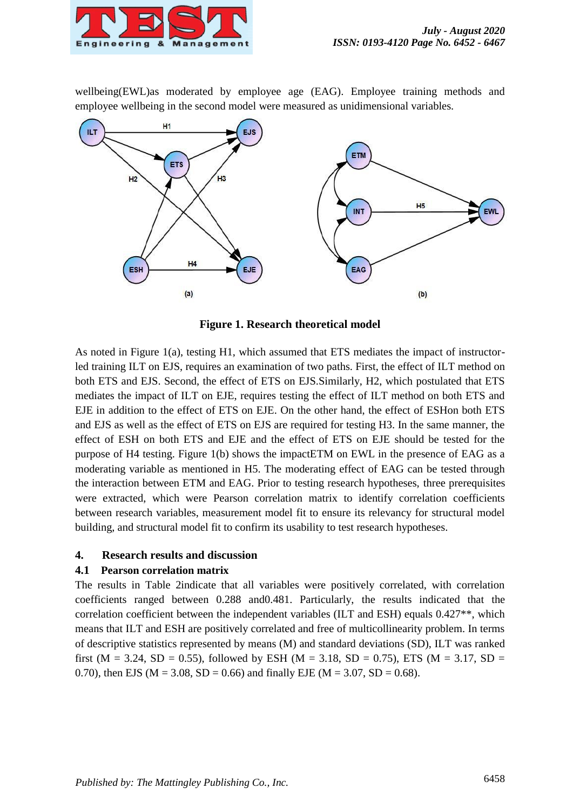

wellbeing(EWL) as moderated by employee age (EAG). Employee training methods and employee wellbeing in the second model were measured as unidimensional variables.



**Figure 1. Research theoretical model**

As noted in Figure 1(a), testing H1, which assumed that ETS mediates the impact of instructorled training ILT on EJS, requires an examination of two paths. First, the effect of ILT method on both ETS and EJS. Second, the effect of ETS on EJS.Similarly, H2, which postulated that ETS mediates the impact of ILT on EJE, requires testing the effect of ILT method on both ETS and EJE in addition to the effect of ETS on EJE. On the other hand, the effect of ESHon both ETS and EJS as well as the effect of ETS on EJS are required for testing H3. In the same manner, the effect of ESH on both ETS and EJE and the effect of ETS on EJE should be tested for the purpose of H4 testing. Figure 1(b) shows the impactETM on EWL in the presence of EAG as a moderating variable as mentioned in H5. The moderating effect of EAG can be tested through the interaction between ETM and EAG. Prior to testing research hypotheses, three prerequisites were extracted, which were Pearson correlation matrix to identify correlation coefficients between research variables, measurement model fit to ensure its relevancy for structural model building, and structural model fit to confirm its usability to test research hypotheses.

# **4. Research results and discussion**

### **4.1 Pearson correlation matrix**

The results in Table 2indicate that all variables were positively correlated, with correlation coefficients ranged between 0.288 and0.481. Particularly, the results indicated that the correlation coefficient between the independent variables (ILT and ESH) equals 0.427\*\*, which means that ILT and ESH are positively correlated and free of multicollinearity problem. In terms of descriptive statistics represented by means (M) and standard deviations (SD), ILT was ranked first (M = 3.24, SD = 0.55), followed by ESH (M = 3.18, SD = 0.75), ETS (M = 3.17, SD = 0.70), then EJS ( $M = 3.08$ ,  $SD = 0.66$ ) and finally EJE ( $M = 3.07$ ,  $SD = 0.68$ ).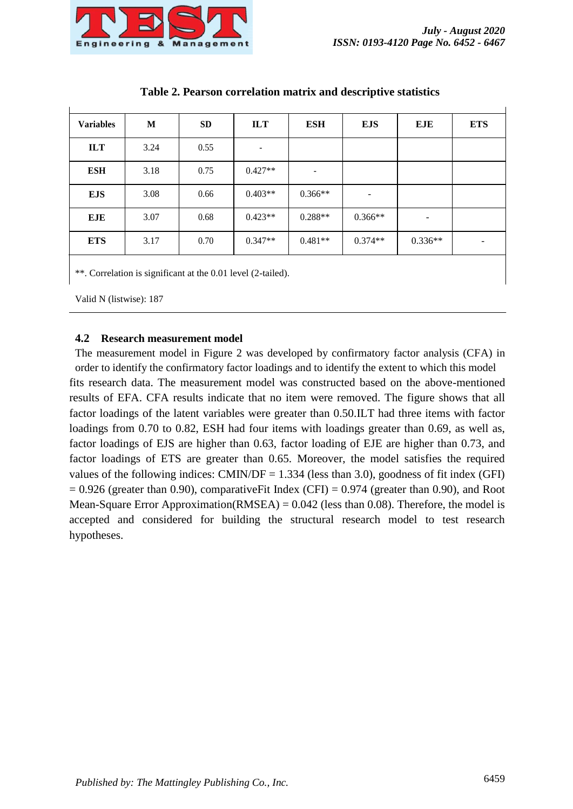

| <b>Variables</b> | M    | <b>SD</b> | <b>ILT</b> | <b>ESH</b> | <b>EJS</b> | <b>EJE</b> | <b>ETS</b> |
|------------------|------|-----------|------------|------------|------------|------------|------------|
| <b>ILT</b>       | 3.24 | 0.55      |            |            |            |            |            |
| <b>ESH</b>       | 3.18 | 0.75      | $0.427**$  |            |            |            |            |
| <b>EJS</b>       | 3.08 | 0.66      | $0.403**$  | $0.366**$  | -          |            |            |
| <b>EJE</b>       | 3.07 | 0.68      | $0.423**$  | $0.288**$  | $0.366**$  | -          |            |
| <b>ETS</b>       | 3.17 | 0.70      | $0.347**$  | $0.481**$  | $0.374**$  | $0.336**$  |            |
|                  |      |           |            |            |            |            |            |

## **Table 2. Pearson correlation matrix and descriptive statistics**

\*\*. Correlation is significant at the 0.01 level (2-tailed).

Valid N (listwise): 187

### **4.2 Research measurement model**

The measurement model in Figure 2 was developed by confirmatory factor analysis (CFA) in order to identify the confirmatory factor loadings and to identify the extent to which this model fits research data. The measurement model was constructed based on the above-mentioned results of EFA. CFA results indicate that no item were removed. The figure shows that all factor loadings of the latent variables were greater than 0.50.ILT had three items with factor loadings from 0.70 to 0.82, ESH had four items with loadings greater than 0.69, as well as, factor loadings of EJS are higher than 0.63, factor loading of EJE are higher than 0.73, and factor loadings of ETS are greater than 0.65. Moreover, the model satisfies the required values of the following indices:  $CMIN/DF = 1.334$  (less than 3.0), goodness of fit index (GFI)  $= 0.926$  (greater than 0.90), comparativeFit Index (CFI)  $= 0.974$  (greater than 0.90), and Root Mean-Square Error Approximation(RMSEA) =  $0.042$  (less than 0.08). Therefore, the model is accepted and considered for building the structural research model to test research hypotheses.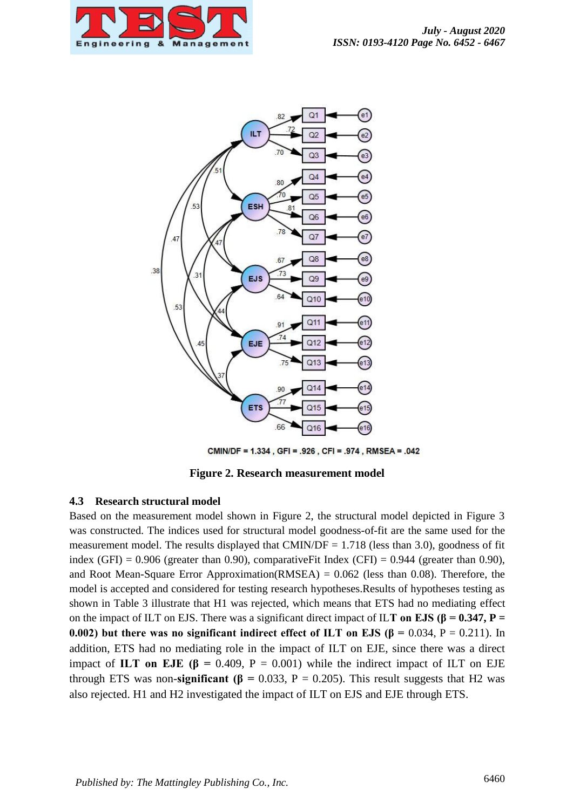



CMIN/DF = 1.334, GFI = .926, CFI = .974, RMSEA = .042

**Figure 2. Research measurement model**

### **4.3 Research structural model**

Based on the measurement model shown in Figure 2, the structural model depicted in Figure 3 was constructed. The indices used for structural model goodness-of-fit are the same used for the measurement model. The results displayed that CMIN/DF =  $1.718$  (less than 3.0), goodness of fit index (GFI) =  $0.906$  (greater than 0.90), comparativeFit Index (CFI) =  $0.944$  (greater than 0.90), and Root Mean-Square Error Approximation(RMSEA)  $= 0.062$  (less than 0.08). Therefore, the model is accepted and considered for testing research hypotheses.Results of hypotheses testing as shown in Table 3 illustrate that H1 was rejected, which means that ETS had no mediating effect on the impact of ILT on EJS. There was a significant direct impact of ILT on EJS ( $\beta$  = 0.347, P = **0.002)** but there was no significant indirect effect of ILT on EJS ( $\beta$  = 0.034, P = 0.211). In addition, ETS had no mediating role in the impact of ILT on EJE, since there was a direct impact of **ILT** on EJE ( $\beta$  = 0.409, P = 0.001) while the indirect impact of ILT on EJE through ETS was non-**significant (β** = 0.033, P = 0.205). This result suggests that H2 was also rejected. H1 and H2 investigated the impact of ILT on EJS and EJE through ETS.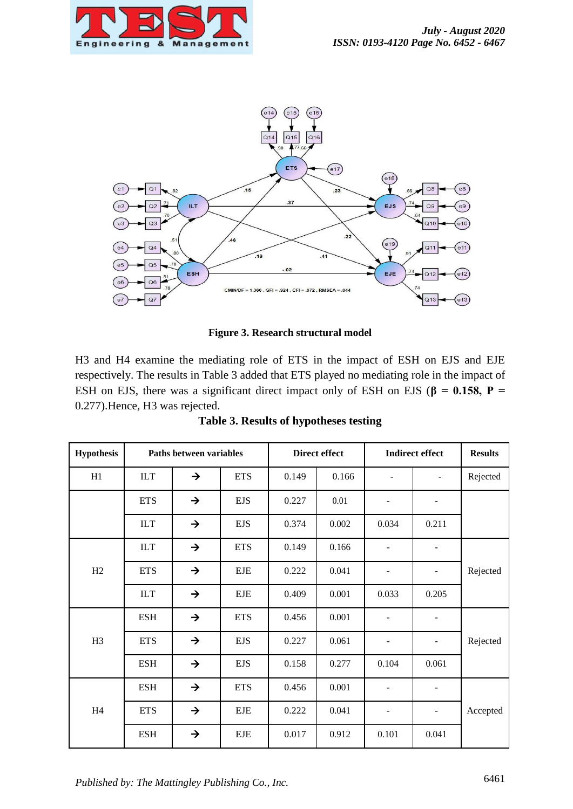



**Figure 3. Research structural model**

H3 and H4 examine the mediating role of ETS in the impact of ESH on EJS and EJE respectively. The results in Table 3 added that ETS played no mediating role in the impact of ESH on EJS, there was a significant direct impact only of ESH on EJS ( $\beta$  = 0.158, **P** = 0.277).Hence, H3 was rejected.

| <b>Hypothesis</b> | Paths between variables |               |             | <b>Direct effect</b> |       | <b>Indirect effect</b> |       | <b>Results</b> |
|-------------------|-------------------------|---------------|-------------|----------------------|-------|------------------------|-------|----------------|
| H1                | <b>ILT</b>              | $\rightarrow$ | <b>ETS</b>  | 0.149                | 0.166 |                        |       | Rejected       |
|                   | <b>ETS</b>              | $\rightarrow$ | <b>EJS</b>  | 0.227                | 0.01  |                        |       |                |
|                   | ILT                     | $\rightarrow$ | <b>EJS</b>  | 0.374                | 0.002 | 0.034                  | 0.211 |                |
|                   | ILT                     | $\rightarrow$ | <b>ETS</b>  | 0.149                | 0.166 |                        |       |                |
| H2                | <b>ETS</b>              | $\rightarrow$ | <b>EJE</b>  | 0.222                | 0.041 |                        |       | Rejected       |
|                   | ILT                     | $\rightarrow$ | <b>EJE</b>  | 0.409                | 0.001 | 0.033                  | 0.205 |                |
| H <sub>3</sub>    | <b>ESH</b>              | $\rightarrow$ | <b>ETS</b>  | 0.456                | 0.001 |                        | -     |                |
|                   | <b>ETS</b>              | $\rightarrow$ | <b>EJS</b>  | 0.227                | 0.061 |                        |       | Rejected       |
|                   | <b>ESH</b>              | $\rightarrow$ | <b>EJS</b>  | 0.158                | 0.277 | 0.104                  | 0.061 |                |
| H4                | <b>ESH</b>              | $\rightarrow$ | <b>ETS</b>  | 0.456                | 0.001 | ۰                      |       |                |
|                   | <b>ETS</b>              | $\rightarrow$ | ${\rm EJE}$ | 0.222                | 0.041 |                        |       | Accepted       |
|                   | <b>ESH</b>              | $\rightarrow$ | <b>EJE</b>  | 0.017                | 0.912 | 0.101                  | 0.041 |                |

**Table 3. Results of hypotheses testing**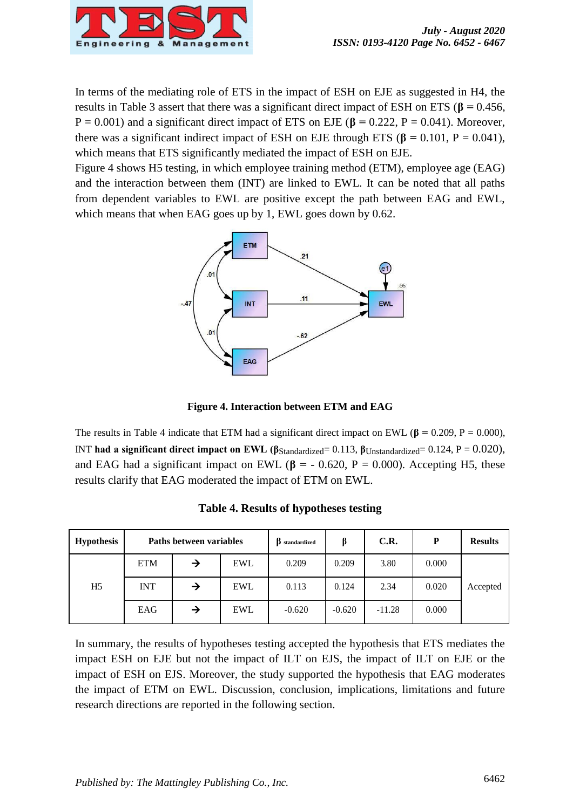

In terms of the mediating role of ETS in the impact of ESH on EJE as suggested in H4, the results in Table 3 assert that there was a significant direct impact of ESH on ETS (**β =** 0.456, P = 0.001) and a significant direct impact of ETS on EJE (**β =** 0.222, P = 0.041). Moreover, there was a significant indirect impact of ESH on EJE through ETS ( $\beta$  = 0.101, P = 0.041), which means that ETS significantly mediated the impact of ESH on EJE.

Figure 4 shows H5 testing, in which employee training method (ETM), employee age (EAG) and the interaction between them (INT) are linked to EWL. It can be noted that all paths from dependent variables to EWL are positive except the path between EAG and EWL, which means that when EAG goes up by 1, EWL goes down by 0.62.



**Figure 4. Interaction between ETM and EAG**

The results in Table 4 indicate that ETM had a significant direct impact on EWL ( $\beta$  = 0.209, P = 0.000), INT **had a significant direct impact on EWL (β**Standardized= 0.113, β<sub>Unstandardized</sub>= 0.124, P = 0.020), and EAG had a significant impact on EWL ( $\beta$  = - 0.620, P = 0.000). Accepting H5, these results clarify that EAG moderated the impact of ETM on EWL.

| <b>Hypothesis</b> |            | Paths between variables |            | ß<br>standardized |          | C.R.     | P     | <b>Results</b> |
|-------------------|------------|-------------------------|------------|-------------------|----------|----------|-------|----------------|
|                   | ETM        | →                       | <b>EWL</b> | 0.209             | 0.209    | 3.80     | 0.000 |                |
| H <sub>5</sub>    | <b>INT</b> | →                       | <b>EWL</b> | 0.113             | 0.124    | 2.34     | 0.020 | Accepted       |
|                   | EAG        | →                       | <b>EWL</b> | $-0.620$          | $-0.620$ | $-11.28$ | 0.000 |                |

**Table 4. Results of hypotheses testing**

In summary, the results of hypotheses testing accepted the hypothesis that ETS mediates the impact ESH on EJE but not the impact of ILT on EJS, the impact of ILT on EJE or the impact of ESH on EJS. Moreover, the study supported the hypothesis that EAG moderates the impact of ETM on EWL. Discussion, conclusion, implications, limitations and future research directions are reported in the following section.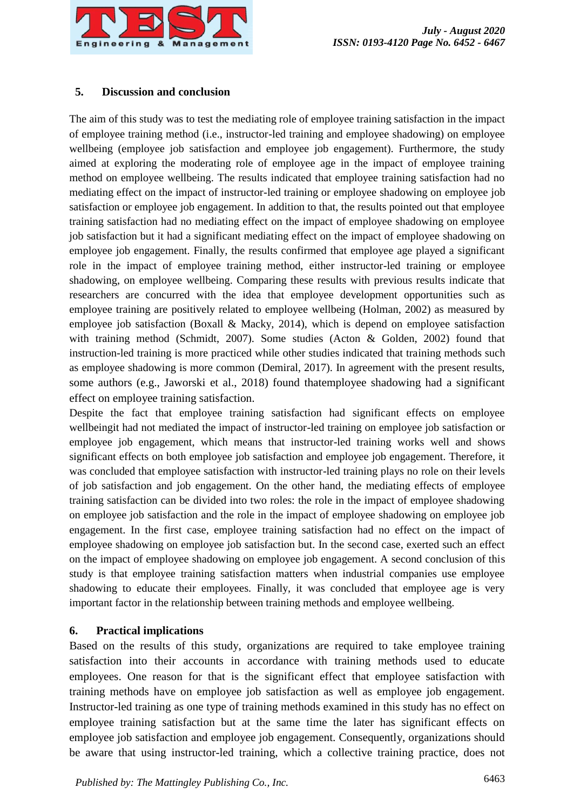

## **5. Discussion and conclusion**

The aim of this study was to test the mediating role of employee training satisfaction in the impact of employee training method (i.e., instructor-led training and employee shadowing) on employee wellbeing (employee job satisfaction and employee job engagement). Furthermore, the study aimed at exploring the moderating role of employee age in the impact of employee training method on employee wellbeing. The results indicated that employee training satisfaction had no mediating effect on the impact of instructor-led training or employee shadowing on employee job satisfaction or employee job engagement. In addition to that, the results pointed out that employee training satisfaction had no mediating effect on the impact of employee shadowing on employee job satisfaction but it had a significant mediating effect on the impact of employee shadowing on employee job engagement. Finally, the results confirmed that employee age played a significant role in the impact of employee training method, either instructor-led training or employee shadowing, on employee wellbeing. Comparing these results with previous results indicate that researchers are concurred with the idea that employee development opportunities such as employee training are positively related to employee wellbeing (Holman, 2002) as measured by employee job satisfaction (Boxall & Macky, 2014), which is depend on employee satisfaction with training method (Schmidt, 2007). Some studies (Acton & Golden, 2002) found that instruction-led training is more practiced while other studies indicated that training methods such as employee shadowing is more common (Demiral, 2017). In agreement with the present results, some authors (e.g., Jaworski et al., 2018) found thatemployee shadowing had a significant effect on employee training satisfaction.

Despite the fact that employee training satisfaction had significant effects on employee wellbeingit had not mediated the impact of instructor-led training on employee job satisfaction or employee job engagement, which means that instructor-led training works well and shows significant effects on both employee job satisfaction and employee job engagement. Therefore, it was concluded that employee satisfaction with instructor-led training plays no role on their levels of job satisfaction and job engagement. On the other hand, the mediating effects of employee training satisfaction can be divided into two roles: the role in the impact of employee shadowing on employee job satisfaction and the role in the impact of employee shadowing on employee job engagement. In the first case, employee training satisfaction had no effect on the impact of employee shadowing on employee job satisfaction but. In the second case, exerted such an effect on the impact of employee shadowing on employee job engagement. A second conclusion of this study is that employee training satisfaction matters when industrial companies use employee shadowing to educate their employees. Finally, it was concluded that employee age is very important factor in the relationship between training methods and employee wellbeing.

# **6. Practical implications**

Based on the results of this study, organizations are required to take employee training satisfaction into their accounts in accordance with training methods used to educate employees. One reason for that is the significant effect that employee satisfaction with training methods have on employee job satisfaction as well as employee job engagement. Instructor-led training as one type of training methods examined in this study has no effect on employee training satisfaction but at the same time the later has significant effects on employee job satisfaction and employee job engagement. Consequently, organizations should be aware that using instructor-led training, which a collective training practice, does not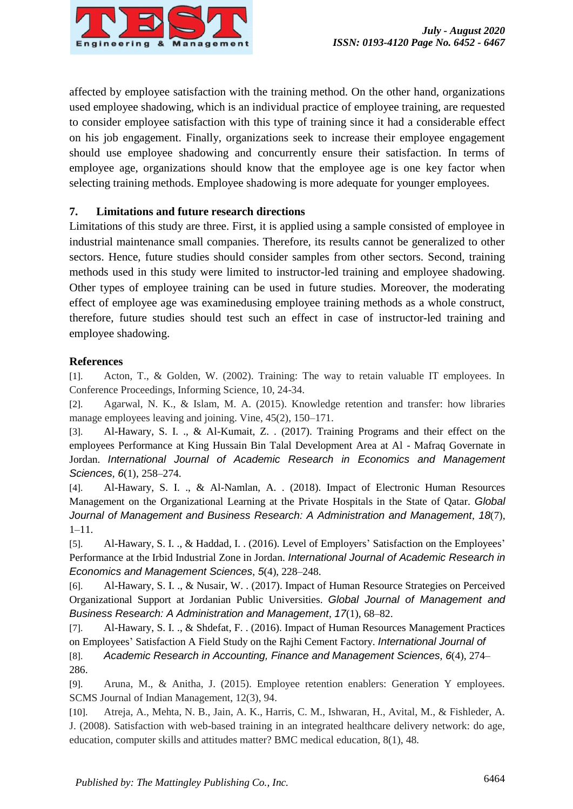

affected by employee satisfaction with the training method. On the other hand, organizations used employee shadowing, which is an individual practice of employee training, are requested to consider employee satisfaction with this type of training since it had a considerable effect on his job engagement. Finally, organizations seek to increase their employee engagement should use employee shadowing and concurrently ensure their satisfaction. In terms of employee age, organizations should know that the employee age is one key factor when selecting training methods. Employee shadowing is more adequate for younger employees.

# **7. Limitations and future research directions**

Limitations of this study are three. First, it is applied using a sample consisted of employee in industrial maintenance small companies. Therefore, its results cannot be generalized to other sectors. Hence, future studies should consider samples from other sectors. Second, training methods used in this study were limited to instructor-led training and employee shadowing. Other types of employee training can be used in future studies. Moreover, the moderating effect of employee age was examinedusing employee training methods as a whole construct, therefore, future studies should test such an effect in case of instructor-led training and employee shadowing.

# **References**

[1]. Acton, T., & Golden, W. (2002). Training: The way to retain valuable IT employees. In Conference Proceedings, Informing Science, 10, 24-34.

[2]. Agarwal, N. K., & Islam, M. A. (2015). Knowledge retention and transfer: how libraries manage employees leaving and joining. Vine, 45(2), 150–171.

[3]. Al-Hawary, S. I. ., & Al-Kumait, Z. . (2017). Training Programs and their effect on the employees Performance at King Hussain Bin Talal Development Area at Al - Mafraq Governate in Jordan. *International Journal of Academic Research in Economics and Management Sciences*, *6*(1), 258–274.

[4]. Al-Hawary, S. I. ., & Al-Namlan, A. . (2018). Impact of Electronic Human Resources Management on the Organizational Learning at the Private Hospitals in the State of Qatar. *Global Journal of Management and Business Research: A Administration and Management*, *18*(7), 1–11.

[5]. Al-Hawary, S. I. ., & Haddad, I. . (2016). Level of Employers' Satisfaction on the Employees' Performance at the Irbid Industrial Zone in Jordan. *International Journal of Academic Research in Economics and Management Sciences*, *5*(4), 228–248.

[6]. Al-Hawary, S. I. ., & Nusair, W. . (2017). Impact of Human Resource Strategies on Perceived Organizational Support at Jordanian Public Universities. *Global Journal of Management and Business Research: A Administration and Management*, *17*(1), 68–82.

[7]. Al-Hawary, S. I. ., & Shdefat, F. . (2016). Impact of Human Resources Management Practices on Employees' Satisfaction A Field Study on the Rajhi Cement Factory. *International Journal of* [8]. *Academic Research in Accounting, Finance and Management Sciences*, *6*(4), 274– 286.

[9]. Aruna, M., & Anitha, J. (2015). Employee retention enablers: Generation Y employees. SCMS Journal of Indian Management, 12(3), 94.

[10]. Atreja, A., Mehta, N. B., Jain, A. K., Harris, C. M., Ishwaran, H., Avital, M., & Fishleder, A. J. (2008). Satisfaction with web-based training in an integrated healthcare delivery network: do age, education, computer skills and attitudes matter? BMC medical education, 8(1), 48.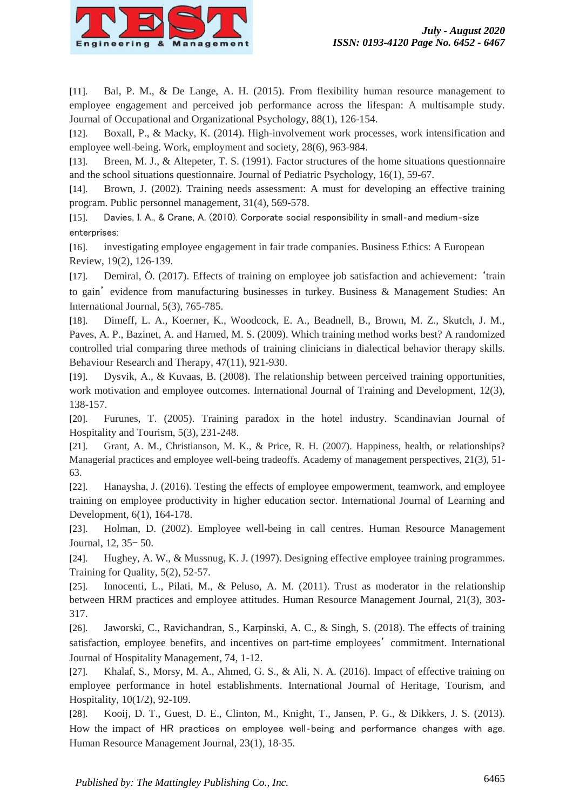

[11]. Bal, P. M., & De Lange, A. H. (2015). From flexibility human resource management to employee engagement and perceived job performance across the lifespan: A multisample study. Journal of Occupational and Organizational Psychology, 88(1), 126-154.

[12]. Boxall, P., & Macky, K. (2014). High-involvement work processes, work intensification and employee well-being. Work, employment and society, 28(6), 963-984.

[13]. Breen, M. J., & Altepeter, T. S. (1991). Factor structures of the home situations questionnaire and the school situations questionnaire. Journal of Pediatric Psychology, 16(1), 59-67.

[14]. Brown, J. (2002). Training needs assessment: A must for developing an effective training program. Public personnel management, 31(4), 569-578.

[15]. Davies, I. A., & Crane, A. (2010). Corporate social responsibility in small‐and medium‐size enterprises:

[16]. investigating employee engagement in fair trade companies. Business Ethics: A European Review, 19(2), 126-139.

[17]. Demiral, Ö. (2017). Effects of training on employee job satisfaction and achievement: 'train to gain' evidence from manufacturing businesses in turkey. Business & Management Studies: An International Journal, 5(3), 765-785.

[18]. Dimeff, L. A., Koerner, K., Woodcock, E. A., Beadnell, B., Brown, M. Z., Skutch, J. M., Paves, A. P., Bazinet, A. and Harned, M. S. (2009). Which training method works best? A randomized controlled trial comparing three methods of training clinicians in dialectical behavior therapy skills. Behaviour Research and Therapy, 47(11), 921-930.

[19]. Dysvik, A., & Kuvaas, B. (2008). The relationship between perceived training opportunities, work motivation and employee outcomes. International Journal of Training and Development, 12(3), 138-157.

[20]. Furunes, T. (2005). Training paradox in the hotel industry. Scandinavian Journal of Hospitality and Tourism, 5(3), 231-248.

[21]. Grant, A. M., Christianson, M. K., & Price, R. H. (2007). Happiness, health, or relationships? Managerial practices and employee well-being tradeoffs. Academy of management perspectives, 21(3), 51- 63.

[22]. Hanaysha, J. (2016). Testing the effects of employee empowerment, teamwork, and employee training on employee productivity in higher education sector. International Journal of Learning and Development, 6(1), 164-178.

[23]. Holman, D. (2002). Employee well-being in call centres. Human Resource Management Journal, 12, 35– 50.

[24]. Hughey, A. W., & Mussnug, K. J. (1997). Designing effective employee training programmes. Training for Quality, 5(2), 52-57.

[25]. Innocenti, L., Pilati, M., & Peluso, A. M. (2011). Trust as moderator in the relationship between HRM practices and employee attitudes. Human Resource Management Journal, 21(3), 303- 317.

[26]. Jaworski, C., Ravichandran, S., Karpinski, A. C., & Singh, S. (2018). The effects of training satisfaction, employee benefits, and incentives on part-time employees' commitment. International Journal of Hospitality Management, 74, 1-12.

[27]. Khalaf, S., Morsy, M. A., Ahmed, G. S., & Ali, N. A. (2016). Impact of effective training on employee performance in hotel establishments. International Journal of Heritage, Tourism, and Hospitality, 10(1/2), 92-109.

[28]. Kooij, D. T., Guest, D. E., Clinton, M., Knight, T., Jansen, P. G., & Dikkers, J. S. (2013). How the impact of HR practices on employee well-being and performance changes with age. Human Resource Management Journal, 23(1), 18-35.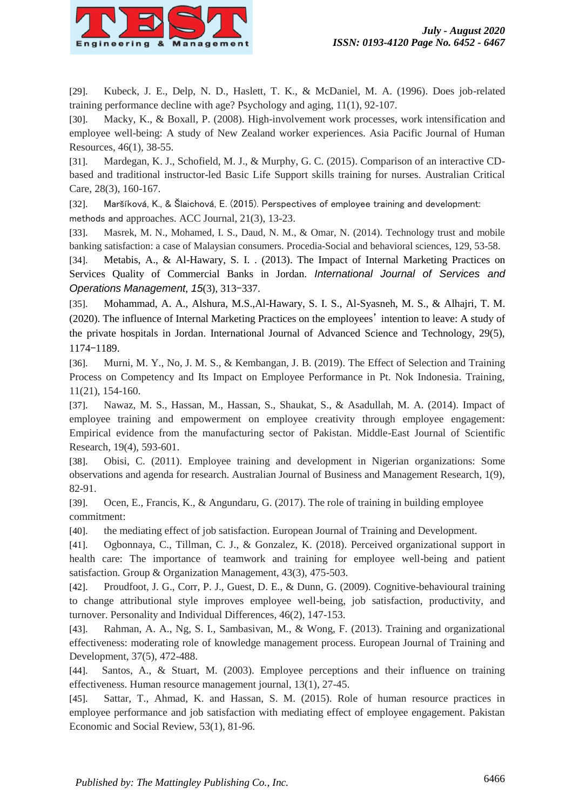

[29]. Kubeck, J. E., Delp, N. D., Haslett, T. K., & McDaniel, M. A. (1996). Does job-related training performance decline with age? Psychology and aging, 11(1), 92-107.

[30]. Macky, K., & Boxall, P. (2008). High-involvement work processes, work intensification and employee well-being: A study of New Zealand worker experiences. Asia Pacific Journal of Human Resources, 46(1), 38-55.

[31]. Mardegan, K. J., Schofield, M. J., & Murphy, G. C. (2015). Comparison of an interactive CDbased and traditional instructor-led Basic Life Support skills training for nurses. Australian Critical Care, 28(3), 160-167.

[32]. Maršíková, K., & Šlaichová, E. (2015). Perspectives of employee training and development: methods and approaches. ACC Journal, 21(3), 13-23.

[33]. Masrek, M. N., Mohamed, I. S., Daud, N. M., & Omar, N. (2014). Technology trust and mobile banking satisfaction: a case of Malaysian consumers. Procedia-Social and behavioral sciences, 129, 53-58.

[34]. Metabis, A., & Al-Hawary, S. I. . (2013). The Impact of Internal Marketing Practices on Services Quality of Commercial Banks in Jordan. *International Journal of Services and Operations Management*, *15*(3), 313–337.

[35]. Mohammad, A. A., Alshura, M.S.,Al-Hawary, S. I. S., Al-Syasneh, M. S., & Alhajri, T. M. (2020). The influence of Internal Marketing Practices on the employees' intention to leave: A study of the private hospitals in Jordan. International Journal of Advanced Science and Technology, 29(5), 1174–1189.

[36]. Murni, M. Y., No, J. M. S., & Kembangan, J. B. (2019). The Effect of Selection and Training Process on Competency and Its Impact on Employee Performance in Pt. Nok Indonesia. Training, 11(21), 154-160.

[37]. Nawaz, M. S., Hassan, M., Hassan, S., Shaukat, S., & Asadullah, M. A. (2014). Impact of employee training and empowerment on employee creativity through employee engagement: Empirical evidence from the manufacturing sector of Pakistan. Middle-East Journal of Scientific Research, 19(4), 593-601.

[38]. Obisi, C. (2011). Employee training and development in Nigerian organizations: Some observations and agenda for research. Australian Journal of Business and Management Research, 1(9), 82-91.

[39]. Ocen, E., Francis, K., & Angundaru, G. (2017). The role of training in building employee commitment:

[40]. the mediating effect of job satisfaction. European Journal of Training and Development.

[41]. Ogbonnaya, C., Tillman, C. J., & Gonzalez, K. (2018). Perceived organizational support in health care: The importance of teamwork and training for employee well-being and patient satisfaction. Group & Organization Management, 43(3), 475-503.

[42]. Proudfoot, J. G., Corr, P. J., Guest, D. E., & Dunn, G. (2009). Cognitive-behavioural training to change attributional style improves employee well-being, job satisfaction, productivity, and turnover. Personality and Individual Differences, 46(2), 147-153.

[43]. Rahman, A. A., Ng, S. I., Sambasivan, M., & Wong, F. (2013). Training and organizational effectiveness: moderating role of knowledge management process. European Journal of Training and Development, 37(5), 472-488.

[44]. Santos, A., & Stuart, M. (2003). Employee perceptions and their influence on training effectiveness. Human resource management journal, 13(1), 27-45.

[45]. Sattar, T., Ahmad, K. and Hassan, S. M. (2015). Role of human resource practices in employee performance and job satisfaction with mediating effect of employee engagement. Pakistan Economic and Social Review, 53(1), 81-96.